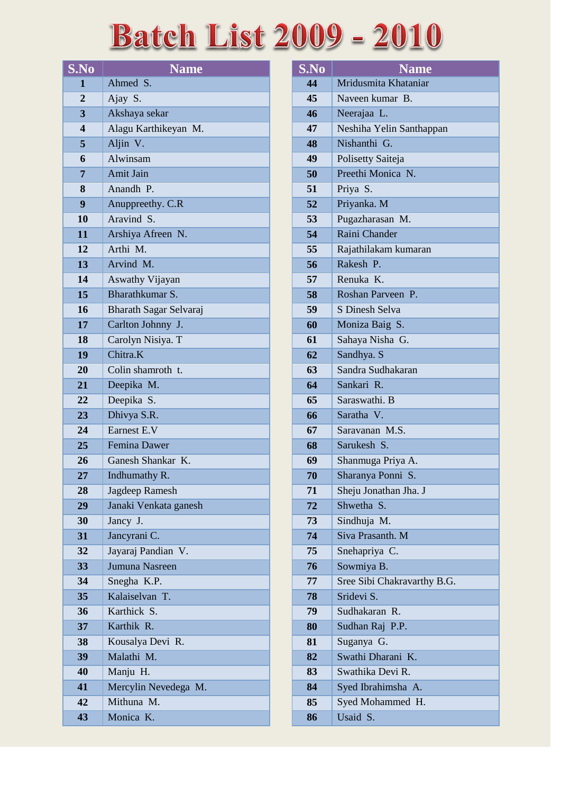## **Batch List 2009 - 2010**

| S.No                    | <b>Name</b>            |
|-------------------------|------------------------|
| 1                       | Ahmed S.               |
| $\overline{2}$          | Ajay S.                |
| $\overline{\mathbf{3}}$ | Akshaya sekar          |
| $\overline{\mathbf{4}}$ | Alagu Karthikeyan M.   |
| 5                       | Aljin V.               |
| 6                       | Alwinsam               |
| 7                       | Amit Jain              |
| 8                       | Anandh P.              |
| 9                       | Anuppreethy. C.R       |
| 10                      | Aravind S.             |
| 11                      | Arshiya Afreen N.      |
| 12                      | Arthi M.               |
| 13                      | Arvind M.              |
| 14                      | Aswathy Vijayan        |
| 15                      | Bharathkumar S.        |
| 16                      | Bharath Sagar Selvaraj |
| 17                      | Carlton Johnny J.      |
| 18                      | Carolyn Nisiya. T      |
| 19                      | Chitra.K               |
| 20                      | Colin shamroth t.      |
| 21                      | Deepika M.             |
| 22                      | Deepika S.             |
| 23                      | Dhivya S.R.            |
| 24                      | Earnest E.V            |
| 25                      | <b>Femina Dawer</b>    |
| 26                      | Ganesh Shankar K.      |
| 27                      | Indhumathy R.          |
| 28                      | Jagdeep Ramesh         |
| 29                      | Janaki Venkata ganesh  |
| 30                      | Jancy J.               |
| 31                      | Jancyrani C.           |
| 32                      | Jayaraj Pandian V.     |
| 33                      | Jumuna Nasreen         |
| 34                      | Snegha K.P.            |
| 35                      | Kalaiselvan T.         |
| 36                      | Karthick S.            |
| 37                      | Karthik R.             |
| 38                      | Kousalya Devi R.       |
| 39                      | Malathi M.             |
| 40                      | Manju H.               |
| 41                      | Mercylin Nevedega M.   |
| 42                      | Mithuna M.             |
| 43                      | Monica K.              |

| S.No | <b>Name</b>                 |
|------|-----------------------------|
| 44   | Mridusmita Khataniar        |
| 45   | Naveen kumar B.             |
| 46   | Neerajaa L.                 |
| 47   | Neshiha Yelin Santhappan    |
| 48   | Nishanthi G.                |
| 49   | Polisetty Saiteja           |
| 50   | Preethi Monica N.           |
| 51   | Priya S.                    |
| 52   | Priyanka. M                 |
| 53   | Pugazharasan M.             |
| 54   | Raini Chander               |
| 55   | Rajathilakam kumaran        |
| 56   | Rakesh P.                   |
| 57   | Renuka K.                   |
| 58   | Roshan Parveen P.           |
| 59   | S Dinesh Selva              |
| 60   | Moniza Baig S.              |
| 61   | Sahaya Nisha G.             |
| 62   | Sandhya. S                  |
| 63   | Sandra Sudhakaran           |
| 64   | Sankari R.                  |
| 65   | Saraswathi. B               |
| 66   | Saratha V.                  |
| 67   | Saravanan M.S.              |
| 68   | Sarukesh S.                 |
| 69   | Shanmuga Priya A.           |
| 70   | Sharanya Ponni S.           |
| 71   | Sheju Jonathan Jha. J       |
| 72   | Shwetha S.                  |
| 73   | Sindhuja M.                 |
| 74   | Siva Prasanth. M            |
| 75   | Snehapriya C.               |
| 76   | Sowmiya B.                  |
| 77   | Sree Sibi Chakravarthy B.G. |
| 78   | Sridevi S.                  |
| 79   | Sudhakaran R.               |
| 80   | Sudhan Raj P.P.             |
| 81   | Suganya G.                  |
| 82   | Swathi Dharani K.           |
| 83   | Swathika Devi R.            |
| 84   | Syed Ibrahimsha A.          |
| 85   | Syed Mohammed H.            |
| 86   | Usaid S.                    |